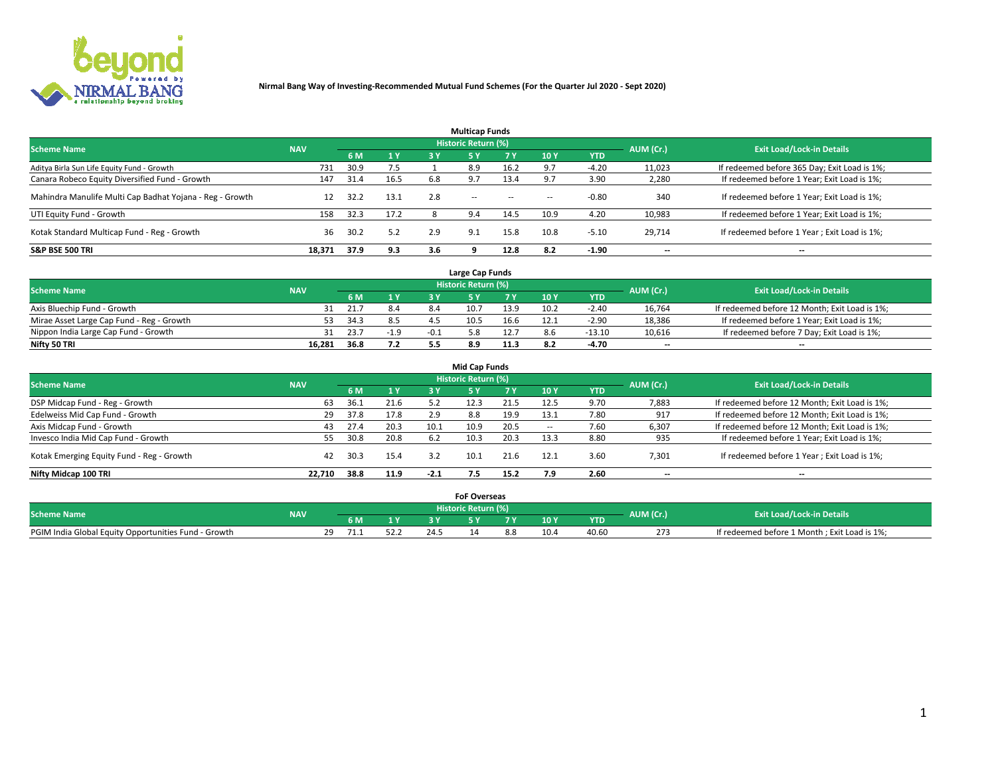

| <b>Multicap Funds</b>                                    |            |      |      |     |                     |           |        |            |           |                                              |  |  |  |
|----------------------------------------------------------|------------|------|------|-----|---------------------|-----------|--------|------------|-----------|----------------------------------------------|--|--|--|
| <b>Scheme Name</b>                                       | <b>NAV</b> |      |      |     | Historic Return (%) |           |        |            | AUM (Cr.) | <b>Exit Load/Lock-in Details</b>             |  |  |  |
|                                                          |            | 6 M  | 1 Y  | 3 Y | <b>5Y</b>           | <b>7Y</b> | 10Y    | <b>YTD</b> |           |                                              |  |  |  |
| Aditya Birla Sun Life Equity Fund - Growth               | 731        | 30.9 | 7.5  |     | 8.9                 | 16.2      |        | $-4.20$    | 11,023    | If redeemed before 365 Day; Exit Load is 1%; |  |  |  |
| Canara Robeco Equity Diversified Fund - Growth           | 147        | 31.4 | 16.5 | 6.8 | 9.7                 | 13.4      |        | 3.90       | 2,280     | If redeemed before 1 Year; Exit Load is 1%;  |  |  |  |
| Mahindra Manulife Multi Cap Badhat Yojana - Reg - Growth |            | 32.2 | 13.1 | 2.8 | $\sim$ $-$          | $\sim$    | $\sim$ | $-0.80$    | 340       | If redeemed before 1 Year; Exit Load is 1%;  |  |  |  |
| UTI Equity Fund - Growth                                 | 158        | 32.3 | 17.2 |     | 9.4                 | 14.5      | 10.9   | 4.20       | 10,983    | If redeemed before 1 Year; Exit Load is 1%;  |  |  |  |
| Kotak Standard Multicap Fund - Reg - Growth              | 36         | 30.2 | 5.2  | 2.9 | 9.1                 | 15.8      | 10.8   | $-5.10$    | 29.714    | If redeemed before 1 Year; Exit Load is 1%;  |  |  |  |
| <b>S&amp;P BSE 500 TRI</b>                               | 18.371     | 37.9 | 9.3  | 3.6 |                     | 12.8      | 8.2    | $-1.90$    | --        | $- -$                                        |  |  |  |

|                                           |            |      |                |      | Large Cap Funds     |      |      |            |                          |                                               |
|-------------------------------------------|------------|------|----------------|------|---------------------|------|------|------------|--------------------------|-----------------------------------------------|
| <b>Scheme Name</b>                        | <b>NAV</b> |      |                |      | Historic Return (%) |      |      |            | AUM (Cr.)                | <b>Exit Load/Lock-in Details</b>              |
|                                           |            | 6 M  | 4 <sub>Y</sub> |      |                     |      | 10 Y | <b>YTD</b> |                          |                                               |
| Axis Bluechip Fund - Growth               |            | 21.7 | 8.4            | 8.4  | 10.7                | 13.9 | 10.2 | $-2.40$    | 16,764                   | If redeemed before 12 Month; Exit Load is 1%; |
| Mirae Asset Large Cap Fund - Reg - Growth | 53.        | 34.3 | 8.5            |      | 10.5                | 16.6 |      | $-2.90$    | 18,386                   | If redeemed before 1 Year; Exit Load is 1%;   |
| Nippon India Large Cap Fund - Growth      |            | 23.7 | $-1.9$         | -0.1 |                     | 12.7 |      | $-13.10$   | 10,616                   | If redeemed before 7 Day; Exit Load is 1%;    |
| Nifty 50 TRI                              | 16,281     | 36.8 | 7.2            |      | 8.9                 | 11.3 |      | -4.70      | $\overline{\phantom{a}}$ | $- -$                                         |

| <b>Mid Cap Funds</b>                      |            |      |      |        |                     |      |                 |            |                          |                                               |  |  |  |
|-------------------------------------------|------------|------|------|--------|---------------------|------|-----------------|------------|--------------------------|-----------------------------------------------|--|--|--|
| <b>Scheme Name</b>                        | <b>NAV</b> |      |      |        | Historic Return (%) |      |                 |            | AUM (Cr.)                | <b>Exit Load/Lock-in Details</b>              |  |  |  |
|                                           |            | 6 M  | 1Y   | 3 Y    | .5 Y                |      | 10 <sub>Y</sub> | <b>YTD</b> |                          |                                               |  |  |  |
| DSP Midcap Fund - Reg - Growth            | 63         | 36.1 | 21.6 |        | 12.3                | 21.5 | 12.5            | 9.70       | 7,883                    | If redeemed before 12 Month; Exit Load is 1%; |  |  |  |
| Edelweiss Mid Cap Fund - Growth           | 29         | 37.8 | 17.8 | 2.9    | 8.8                 | 19.9 | 13.1            | 7.80       | 917                      | If redeemed before 12 Month; Exit Load is 1%; |  |  |  |
| Axis Midcap Fund - Growth                 | 43         | 27.4 | 20.3 | 10.1   | 10.9                | 20.5 | $\sim$          | 7.60       | 6,307                    | If redeemed before 12 Month; Exit Load is 1%; |  |  |  |
| Invesco India Mid Cap Fund - Growth       | 55         | 30.8 | 20.8 | 6.2    | 10.3                | 20.3 | 13.3            | 8.80       | 935                      | If redeemed before 1 Year; Exit Load is 1%;   |  |  |  |
| Kotak Emerging Equity Fund - Reg - Growth | 42         | 30.3 | 15.4 | 3.2    |                     | 21.6 | 12.1            | 3.60       | 7,301                    | If redeemed before 1 Year; Exit Load is 1%;   |  |  |  |
| Nifty Midcap 100 TRI                      | 22.710     | 38.8 | 11.9 | $-2.1$ |                     | 15.2 | 7.9             | 2.60       | $\overline{\phantom{a}}$ | $\overline{\phantom{a}}$                      |  |  |  |

|                                                      |            |     |      |      |                     | <b>FoF Overseas</b> |      |            |           |                                              |
|------------------------------------------------------|------------|-----|------|------|---------------------|---------------------|------|------------|-----------|----------------------------------------------|
| <b>Scheme Name</b>                                   | <b>NAV</b> |     |      |      | Historic Return (%) |                     |      |            | AUM (Cr.) | <b>Exit Load/Lock-in Details</b>             |
|                                                      |            | 6 M | 1Y   |      |                     |                     | 10 Y | <b>YTD</b> |           |                                              |
| PGIM India Global Equity Opportunities Fund - Growth |            |     | 52.Z | 24.5 |                     |                     |      | 40.60      | 273       | If redeemed before 1 Month; Exit Load is 1%; |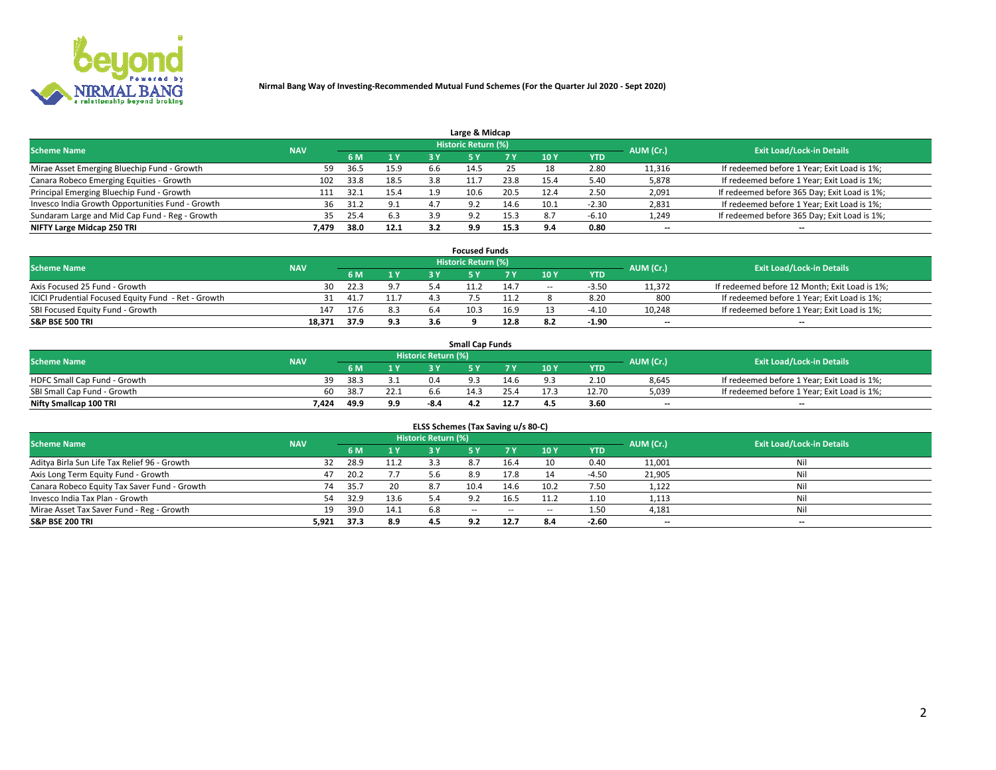

|                                                  |            |      |      |     | Large & Midcap             |      |       |         |                          |                                              |
|--------------------------------------------------|------------|------|------|-----|----------------------------|------|-------|---------|--------------------------|----------------------------------------------|
| <b>Scheme Name</b>                               | <b>NAV</b> |      |      |     | <b>Historic Return (%)</b> |      |       |         | AUM (Cr.)                | <b>Exit Load/Lock-in Details</b>             |
|                                                  |            | 6 M  | 1Y   | 3 Y |                            | 7 V  | 10Y   | YTD     |                          |                                              |
| Mirae Asset Emerging Bluechip Fund - Growth      | 59         | 36.5 | 15.9 | b.b | 14.5                       |      | 18    | 2.80    | 11,316                   | If redeemed before 1 Year; Exit Load is 1%;  |
| Canara Robeco Emerging Equities - Growth         | 102        | 33.8 | 18.5 | 3.8 |                            | 23.8 | 15.4  | 5.40    | 5,878                    | If redeemed before 1 Year; Exit Load is 1%;  |
| Principal Emerging Bluechip Fund - Growth        | 111        | 32.1 | 15.4 | 1.9 | 10.6                       | 20.5 | 12.4  | 2.50    | 2,091                    | If redeemed before 365 Day; Exit Load is 1%; |
| Invesco India Growth Opportunities Fund - Growth | 36         | 31.2 | 9.1  |     | 9.2                        | 14.6 | 10.1  | $-2.30$ | 2,831                    | If redeemed before 1 Year; Exit Load is 1%;  |
| Sundaram Large and Mid Cap Fund - Reg - Growth   | 35.        | 25.4 | 6.3  | 3.9 | റാ                         | 15.3 | 8.7   | $-6.10$ | 1,249                    | If redeemed before 365 Day; Exit Load is 1%; |
| NIFTY Large Midcap 250 TRI                       | 7.479      | 38.0 | 12.1 | 3.2 | 9.9                        | 15.3 | . Q A | 0.80    | $\overline{\phantom{a}}$ | $- -$                                        |

|                                                     |            |      |      |     | <b>Focused Funds</b> |      |        |            |                          |                                               |
|-----------------------------------------------------|------------|------|------|-----|----------------------|------|--------|------------|--------------------------|-----------------------------------------------|
| <b>Scheme Name</b>                                  | <b>NAV</b> |      |      |     | Historic Return (%)  |      |        |            | AUM (Cr.)                | <b>Exit Load/Lock-in Details</b>              |
|                                                     |            | 6 M  | 1 Y  |     |                      |      | 10 Y   | <b>YTD</b> |                          |                                               |
| Axis Focused 25 Fund - Growth                       | 30         | 22.3 | 9.7  |     |                      | 14.7 | $\sim$ | $-3.5c$    | 11,372                   | If redeemed before 12 Month; Exit Load is 1%; |
| ICICI Prudential Focused Equity Fund - Ret - Growth |            | 41.7 | 11.7 |     |                      | 1.2  |        | 8.20       | 800                      | If redeemed before 1 Year; Exit Load is 1%;   |
| SBI Focused Equity Fund - Growth                    | 147        | 17.6 | 8.3  | 6.4 | 10.3                 | 16.9 |        | $-4.10$    | 10,248                   | If redeemed before 1 Year; Exit Load is 1%;   |
| <b>S&amp;P BSE 500 TRI</b>                          | 18.371     | 37.9 | 9.3  | 3.6 |                      | 12.8 |        | $-1.90$    | $\overline{\phantom{a}}$ | $- -$                                         |

| <b>Small Cap Funds</b>       |            |      |      |                     |      |           |                                  |            |       |                                             |  |  |
|------------------------------|------------|------|------|---------------------|------|-----------|----------------------------------|------------|-------|---------------------------------------------|--|--|
| <b>Scheme Name</b>           | <b>NAV</b> |      |      | Historic Return (%) |      | AUM (Cr.) | <b>Exit Load/Lock-in Details</b> |            |       |                                             |  |  |
|                              |            | 6 M  | 1 Y  |                     |      |           | 10 <sub>Y</sub>                  | <b>YTD</b> |       |                                             |  |  |
| HDFC Small Cap Fund - Growth |            | 38.3 |      | 0.4                 |      | 14.6      |                                  | 2.10       | 8,645 | If redeemed before 1 Year; Exit Load is 1%; |  |  |
| SBI Small Cap Fund - Growth  | 60         | 38.7 | 22.1 | 6.6                 | 14.5 |           |                                  | 12.70      | 5,039 | If redeemed before 1 Year; Exit Load is 1%; |  |  |
| Nifty Smallcap 100 TRI       | 7.424      | 49.º | 9.9  | -8.4                | 4.2  | 12.       | 4.5                              | 3.60       | $-$   | $- -$                                       |  |  |

| ELSS Schemes (Tax Saving u/s 80-C)           |            |       |      |                            |            |        |                          |            |                          |                                  |  |  |  |
|----------------------------------------------|------------|-------|------|----------------------------|------------|--------|--------------------------|------------|--------------------------|----------------------------------|--|--|--|
| <b>Scheme Name</b>                           | <b>NAV</b> |       |      | <b>Historic Return (%)</b> |            |        |                          |            | AUM (Cr.)                | <b>Exit Load/Lock-in Details</b> |  |  |  |
|                                              |            | - 6 M | 1Y   | 3 Y                        | <b>5Y</b>  | 7 Y    | 10 Y                     | <b>YTD</b> |                          |                                  |  |  |  |
| Aditya Birla Sun Life Tax Relief 96 - Growth | 32         | 28.9  | 11.2 |                            |            | 16.4   | 10                       | 0.40       | 11,001                   | Nil                              |  |  |  |
| Axis Long Term Equity Fund - Growth          | 47         | 20.2  | 7.7  | 5.6                        | 8.9        | 17.8   |                          | $-4.50$    | 21,905                   | Nil                              |  |  |  |
| Canara Robeco Equity Tax Saver Fund - Growth | 74         | 35.7  | 20   | 8.7                        | 10.4       | 14.6   | 10.2                     | 7.50       | 1,122                    | Nil                              |  |  |  |
| Invesco India Tax Plan - Growth              | 54         | 32.9  | 13.6 |                            |            | 16.5   | 11.2                     | 1.10       | 1,113                    | Nil                              |  |  |  |
| Mirae Asset Tax Saver Fund - Reg - Growth    | 19         | 39.0  | 14.1 | 6.8                        | $\sim$ $-$ | $\sim$ | $\overline{\phantom{a}}$ | 1.50       | 4,181                    | Nil                              |  |  |  |
| S&P BSE 200 TRI                              | 5,921      | 37.3  | 8.9  |                            | 9.2        | 12.7   | 8.4                      | $-2.60$    | $\overline{\phantom{a}}$ | $- -$                            |  |  |  |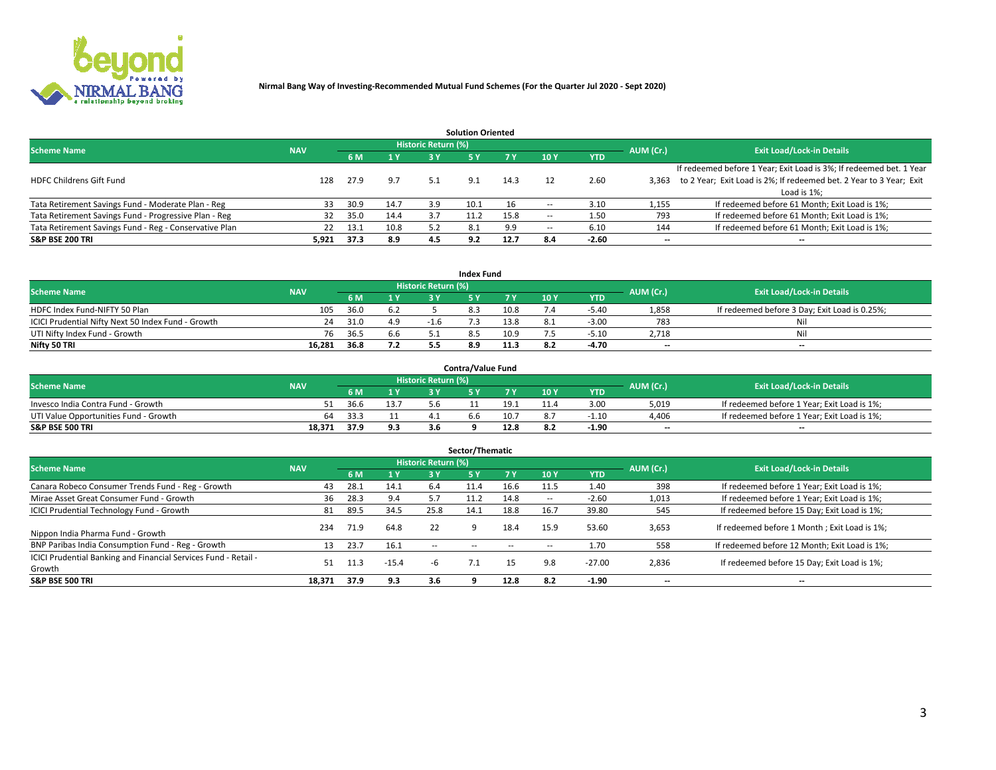

|                                                        |            |            |      |                            | <b>Solution Oriented</b> |      |                          |            |                          |                                                                     |
|--------------------------------------------------------|------------|------------|------|----------------------------|--------------------------|------|--------------------------|------------|--------------------------|---------------------------------------------------------------------|
| <b>Scheme Name</b>                                     | <b>NAV</b> |            |      | <b>Historic Return (%)</b> |                          |      |                          |            | AUM (Cr.)                | <b>Exit Load/Lock-in Details</b>                                    |
|                                                        |            | <b>6 M</b> | 1 Y  | 3 Y                        |                          |      | 10Y                      | <b>YTD</b> |                          |                                                                     |
|                                                        |            |            |      |                            |                          |      |                          |            |                          | If redeemed before 1 Year; Exit Load is 3%; If redeemed bet. 1 Year |
| <b>HDFC Childrens Gift Fund</b>                        | 128        | 27.9       | 9.7  | 5.1                        | 9.1                      | 14.3 |                          | 2.60       | 3.363                    | to 2 Year; Exit Load is 2%; If redeemed bet. 2 Year to 3 Year; Exit |
|                                                        |            |            |      |                            |                          |      |                          |            |                          | Load is 1%;                                                         |
| Tata Retirement Savings Fund - Moderate Plan - Reg     | 33         | 30.9       | 14.7 | 3.9                        | 10.1                     | 16   |                          | 3.10       | 1,155                    | If redeemed before 61 Month; Exit Load is 1%;                       |
| Tata Retirement Savings Fund - Progressive Plan - Reg  | 32         | 35.0       | 14.4 | 3.7                        | 11.2                     | 15.8 | $\overline{\phantom{a}}$ | 1.50       | 793                      | If redeemed before 61 Month; Exit Load is 1%;                       |
| Tata Retirement Savings Fund - Reg - Conservative Plan | 22         | 13.1       | 10.8 | 5.2                        | 8.1                      | 9.9  | --                       | 6.10       | 144                      | If redeemed before 61 Month; Exit Load is 1%;                       |
| S&P BSE 200 TRI                                        | 5,921      | 37.3       | 8.9  | 4.5                        | 9.2                      | 12.7 | 8.4                      | $-2.60$    | $\overline{\phantom{a}}$ | $- -$                                                               |

|                                                    |            |      |              |                            | <b>Index Fund</b> |      |      |            |                          |                                               |
|----------------------------------------------------|------------|------|--------------|----------------------------|-------------------|------|------|------------|--------------------------|-----------------------------------------------|
| <b>Scheme Name</b>                                 | <b>NAV</b> |      |              | <b>Historic Return (%)</b> |                   |      |      |            | AUM (Cr.)                | <b>Exit Load/Lock-in Details</b>              |
|                                                    |            |      | $\sqrt{1}$ Y | 2 V                        |                   | 7 V  | 10 Y | <b>YTD</b> |                          |                                               |
| HDFC Index Fund-NIFTY 50 Plan                      | 105        | 36.0 |              |                            |                   | 10.8 |      | $-5.40$    | 1,858                    | If redeemed before 3 Day; Exit Load is 0.25%; |
| ICICI Prudential Nifty Next 50 Index Fund - Growth | 24         | 31.0 | 4.9          | $-1.6$                     |                   | 13.8 |      | $-3.00$    | 783                      | Nil                                           |
| UTI Nifty Index Fund - Growth                      | 76         | 36.5 | 6.6          |                            |                   | 10.9 |      | $-5.10$    | 2,718                    | Nil                                           |
| Nifty 50 TRI                                       | 16,281     | 36.8 | 7.2          |                            | 8.9               | 11.3 |      | -4.70      | $\overline{\phantom{a}}$ | $- -$                                         |

|                                       |            |      |      |                            | <b>Contra/Value Fund</b> |      |     |            |                          |                                             |
|---------------------------------------|------------|------|------|----------------------------|--------------------------|------|-----|------------|--------------------------|---------------------------------------------|
| <b>Scheme Name</b>                    | <b>NAV</b> |      |      | <b>Historic Return (%)</b> |                          |      |     |            | AUM (Cr.)                | <b>Exit Load/Lock-in Details</b>            |
|                                       |            |      | 1 V  |                            |                          | 7 V  | 10Y | <b>YTD</b> |                          |                                             |
| Invesco India Contra Fund - Growth    |            | 36.6 | 13.7 |                            |                          | 19.1 |     | 3.00       | 5,019                    | If redeemed before 1 Year; Exit Load is 1%; |
| UTI Value Opportunities Fund - Growth | 64         | 33.3 |      |                            |                          | 10.7 |     | -1.10      | 4,406                    | If redeemed before 1 Year; Exit Load is 1%; |
| <b>S&amp;P BSE 500 TRI</b>            | 18.371     | 37.9 | 9.3  |                            |                          | 12.8 |     | -1.90      | $\overline{\phantom{a}}$ | $- -$                                       |

| Sector/Thematic                                                           |            |      |         |                     |            |            |                          |            |           |                                               |  |  |  |
|---------------------------------------------------------------------------|------------|------|---------|---------------------|------------|------------|--------------------------|------------|-----------|-----------------------------------------------|--|--|--|
| <b>Scheme Name</b>                                                        | <b>NAV</b> |      |         | Historic Return (%) |            |            |                          |            | AUM (Cr.) | <b>Exit Load/Lock-in Details</b>              |  |  |  |
|                                                                           |            | 6 M  | 1Y      | 3 Y                 | <b>5Y</b>  | <b>7 Y</b> | 10Y                      | <b>YTD</b> |           |                                               |  |  |  |
| Canara Robeco Consumer Trends Fund - Reg - Growth                         | 43         | 28.1 | 14.1    | 6.4                 | 11.4       | 16.6       | 11.5                     | 1.40       | 398       | If redeemed before 1 Year; Exit Load is 1%;   |  |  |  |
| Mirae Asset Great Consumer Fund - Growth                                  | 36         | 28.3 | 9.4     |                     | 11.2       | 14.8       | $\overline{\phantom{a}}$ | $-2.60$    | 1,013     | If redeemed before 1 Year; Exit Load is 1%;   |  |  |  |
| <b>ICICI Prudential Technology Fund - Growth</b>                          | 81         | 89.5 | 34.5    | 25.8                | 14.1       | 18.8       | 16.7                     | 39.80      | 545       | If redeemed before 15 Day; Exit Load is 1%;   |  |  |  |
| Nippon India Pharma Fund - Growth                                         | 234        | 71.9 | 64.8    | 22                  |            | 18.4       | 15.9                     | 53.60      | 3,653     | If redeemed before 1 Month; Exit Load is 1%;  |  |  |  |
| BNP Paribas India Consumption Fund - Reg - Growth                         | 13         | 23.7 | 16.1    | $\sim$ $\sim$       | $\sim$ $-$ | $\sim$     | $\overline{\phantom{a}}$ | 1.70       | 558       | If redeemed before 12 Month; Exit Load is 1%; |  |  |  |
| ICICI Prudential Banking and Financial Services Fund - Retail -<br>Growth | 51         | l1.3 | $-15.4$ | -b                  |            | 15         | 9.8                      | $-27.00$   | 2,836     | If redeemed before 15 Day; Exit Load is 1%;   |  |  |  |
| <b>S&amp;P BSE 500 TRI</b>                                                | 18.371     | 37.9 | 9.3     | 3.6                 |            | 12.8       | 8.2                      | $-1.90$    | $- -$     | --                                            |  |  |  |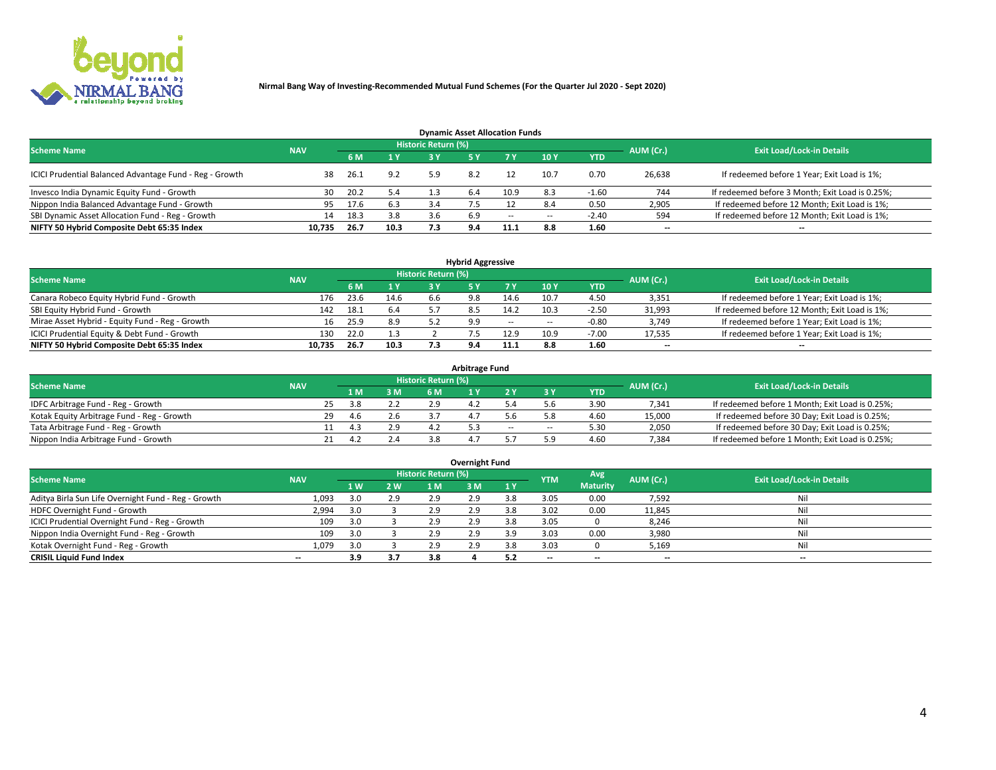

| <b>Dynamic Asset Allocation Funds</b>                   |            |      |      |                            |      |        |                          |            |           |                                                 |  |  |  |  |
|---------------------------------------------------------|------------|------|------|----------------------------|------|--------|--------------------------|------------|-----------|-------------------------------------------------|--|--|--|--|
| <b>Scheme Name</b>                                      | <b>NAV</b> |      |      | <b>Historic Return (%)</b> |      |        |                          |            | AUM (Cr.) | <b>Exit Load/Lock-in Details</b>                |  |  |  |  |
|                                                         |            | 6 M  | 1 Y  |                            | 45 Y |        | $-10Y$                   | <b>YTD</b> |           |                                                 |  |  |  |  |
| ICICI Prudential Balanced Advantage Fund - Reg - Growth | 38         | 26.1 | 9.2  | 5.9                        | 8.2  |        | 10.7                     | 0.70       | 26,638    | If redeemed before 1 Year; Exit Load is 1%;     |  |  |  |  |
| Invesco India Dynamic Equity Fund - Growth              | 30         | 20.2 | 5.4  |                            | 6.4  | 10.9   | 8.3                      | $-1.60$    | 744       | If redeemed before 3 Month; Exit Load is 0.25%; |  |  |  |  |
| Nippon India Balanced Advantage Fund - Growth           | 95         | 17.6 | 6.3  | 3.4                        |      |        | 8.4                      | 0.50       | 2,905     | If redeemed before 12 Month; Exit Load is 1%;   |  |  |  |  |
| SBI Dynamic Asset Allocation Fund - Reg - Growth        | 14         | 18.3 | 3.8  | 3.6                        | 6.9  | $\sim$ | $\overline{\phantom{a}}$ | $-2.40$    | 594       | If redeemed before 12 Month; Exit Load is 1%;   |  |  |  |  |
| NIFTY 50 Hybrid Composite Debt 65:35 Index              | 10,735     | 26.7 | 10.3 | 7.3                        | 9.4  | 11.1   | 8.8                      | 1.60       | $- -$     | $- -$                                           |  |  |  |  |

| <b>Hybrid Aggressive</b>                        |            |      |      |                     |     |        |                          |            |                          |                                               |  |  |  |  |
|-------------------------------------------------|------------|------|------|---------------------|-----|--------|--------------------------|------------|--------------------------|-----------------------------------------------|--|--|--|--|
| <b>Scheme Name</b>                              | <b>NAV</b> |      |      | Historic Return (%) |     |        |                          |            | AUM (Cr.)                | <b>Exit Load/Lock-in Details</b>              |  |  |  |  |
|                                                 |            | 6 M  | 1 Y  | a v                 |     |        | 10Y                      | <b>YTD</b> |                          |                                               |  |  |  |  |
| Canara Robeco Equity Hybrid Fund - Growth       | 176        | 23.6 | 14.6 | 6h                  | 9.8 | 14.6   | 10.7                     | 4.50       | 3,351                    | If redeemed before 1 Year; Exit Load is 1%;   |  |  |  |  |
| SBI Equity Hybrid Fund - Growth                 | 142        | 18.1 | 6.4  |                     |     | 14.2   | 10.3                     | $-2.50$    | 31,993                   | If redeemed before 12 Month; Exit Load is 1%; |  |  |  |  |
| Mirae Asset Hybrid - Equity Fund - Reg - Growth | 16         | 25.9 | 8.9  |                     | 9.9 | $\sim$ | $\overline{\phantom{a}}$ | -0.80      | 3,749                    | If redeemed before 1 Year; Exit Load is 1%;   |  |  |  |  |
| ICICI Prudential Equity & Debt Fund - Growth    | 130        | 22.0 | 1.3  |                     |     | 12.9   | 10.9                     | $-7.00$    | 17,535                   | If redeemed before 1 Year; Exit Load is 1%;   |  |  |  |  |
| NIFTY 50 Hybrid Composite Debt 65:35 Index      | 10.735     | 26.7 | 10.3 |                     |     |        |                          | 1.60       | $\overline{\phantom{a}}$ | $- -$                                         |  |  |  |  |

| <b>Arbitrage Fund</b>                      |            |                                  |               |           |  |        |        |            |        |                                                 |  |  |  |  |
|--------------------------------------------|------------|----------------------------------|---------------|-----------|--|--------|--------|------------|--------|-------------------------------------------------|--|--|--|--|
| <b>Scheme Name</b>                         | AUM (Cr.)  | <b>Exit Load/Lock-in Details</b> |               |           |  |        |        |            |        |                                                 |  |  |  |  |
|                                            | <b>NAV</b> | LΜ                               | 3 M           | <b>6M</b> |  |        |        | <b>YTD</b> |        |                                                 |  |  |  |  |
| IDFC Arbitrage Fund - Reg - Growth         |            | 25<br>3.8                        | 2.2           | 2.9       |  |        |        | 3.90       | 7,341  | If redeemed before 1 Month; Exit Load is 0.25%; |  |  |  |  |
| Kotak Equity Arbitrage Fund - Reg - Growth |            | 29<br>46                         |               |           |  |        |        | 4.60       | 15,000 | If redeemed before 30 Day; Exit Load is 0.25%;  |  |  |  |  |
| Tata Arbitrage Fund - Reg - Growth         |            | 4.3                              | 2.9           |           |  | $\sim$ | $\sim$ | 5.30       | 2,050  | If redeemed before 30 Day; Exit Load is 0.25%;  |  |  |  |  |
| Nippon India Arbitrage Fund - Growth       |            |                                  | $\sim$ $\sim$ |           |  |        | ິດ     | 4.60       | 7,384  | If redeemed before 1 Month; Exit Load is 0.25%; |  |  |  |  |

| Overnight Fund                                      |            |     |     |                     |     |     |            |                 |           |                                  |  |  |  |  |
|-----------------------------------------------------|------------|-----|-----|---------------------|-----|-----|------------|-----------------|-----------|----------------------------------|--|--|--|--|
| <b>Scheme Name</b>                                  | <b>NAV</b> |     |     | Historic Return (%) |     |     | <b>YTM</b> | Avg             | AUM (Cr.) | <b>Exit Load/Lock-in Details</b> |  |  |  |  |
|                                                     |            | 1 W | 2 W | 1 M.                | 3 M | 1Y  |            | <b>Maturity</b> |           |                                  |  |  |  |  |
| Aditya Birla Sun Life Overnight Fund - Reg - Growth | 1,093      |     | 2.9 | 2.9                 | 2.9 | 3.8 | 3.05       | 0.00            | 7,592     | Nil                              |  |  |  |  |
| HDFC Overnight Fund - Growth                        | 2,994      |     |     | 2.9                 | 2.9 |     | 3.02       | 0.00            | 11,845    | Nil                              |  |  |  |  |
| ICICI Prudential Overnight Fund - Reg - Growth      | 109        |     |     | 2.9                 | 2.9 | 3.8 | 3.05       |                 | 8,246     | Nil                              |  |  |  |  |
| Nippon India Overnight Fund - Reg - Growth          | 109        | 3.0 |     | 2.9                 | 2.9 | 3.9 | 3.03       | 0.00            | 3,980     | Nil                              |  |  |  |  |
| Kotak Overnight Fund - Reg - Growth                 | 1,079      |     |     | 2.9                 | 2.9 | 3.8 | 3.03       |                 | 5,169     | Nil                              |  |  |  |  |
| <b>CRISIL Liquid Fund Index</b>                     | $- -$      | 3.9 | 3.7 | 3.8                 |     |     | --         | --              | $- -$     | --                               |  |  |  |  |

### **Overnight Fund**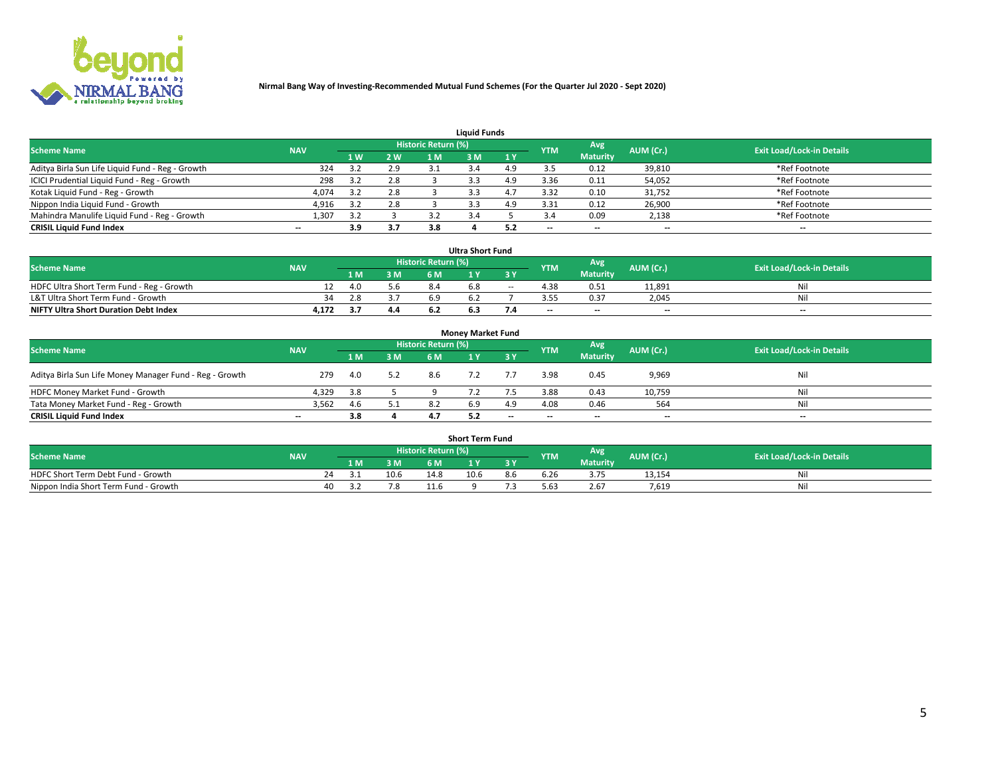

| <b>Liquid Funds</b>                              |            |     |     |                     |    |           |            |                 |           |                                  |  |  |  |  |
|--------------------------------------------------|------------|-----|-----|---------------------|----|-----------|------------|-----------------|-----------|----------------------------------|--|--|--|--|
| <b>Scheme Name</b>                               | <b>NAV</b> |     |     | Historic Return (%) |    |           | <b>YTM</b> | Avg             | AUM (Cr.) | <b>Exit Load/Lock-in Details</b> |  |  |  |  |
|                                                  |            | 1 W | 2 W | 1 M                 | ۱M | <b>1Y</b> |            | <b>Maturity</b> |           |                                  |  |  |  |  |
| Aditya Birla Sun Life Liquid Fund - Reg - Growth | 324        | 3.2 | 2.9 |                     |    |           |            | 0.12            | 39,810    | *Ref Footnote                    |  |  |  |  |
| ICICI Prudential Liquid Fund - Reg - Growth      | 298        |     | 2.8 |                     |    | 4.9       | 3.36       | 0.11            | 54,052    | *Ref Footnote                    |  |  |  |  |
| Kotak Liquid Fund - Reg - Growth                 | 4,074      |     | 2.8 |                     |    |           | 3.32       | 0.10            | 31,752    | *Ref Footnote                    |  |  |  |  |
| Nippon India Liquid Fund - Growth                | 4,916      |     | 2.8 |                     |    |           | 3.31       | 0.12            | 26,900    | *Ref Footnote                    |  |  |  |  |
| Mahindra Manulife Liquid Fund - Reg - Growth     | 1,307      | 3.2 |     |                     |    |           |            | 0.09            | 2,138     | *Ref Footnote                    |  |  |  |  |
| <b>CRISIL Liquid Fund Index</b>                  | $- -$      | 3.9 | 3.7 | 3.8                 |    |           | --         | $- -$           | --        | $\overline{\phantom{a}}$         |  |  |  |  |

| <b>Ultra Short Fund</b>                      |            |     |     |                            |     |        |            |                 |           |                                  |  |  |  |  |
|----------------------------------------------|------------|-----|-----|----------------------------|-----|--------|------------|-----------------|-----------|----------------------------------|--|--|--|--|
| <b>Scheme Name</b>                           | <b>NAV</b> |     |     | <b>Historic Return (%)</b> |     |        | <b>YTM</b> | Avg             | AUM (Cr.) | <b>Exit Load/Lock-in Details</b> |  |  |  |  |
|                                              |            |     | 3 M | 6 M                        |     | 3 Y    |            | <b>Maturity</b> |           |                                  |  |  |  |  |
| HDFC Ultra Short Term Fund - Reg - Growth    |            | 4.0 | 5.6 | 8.4                        | n.ŏ | $\sim$ | 4.38       | 0.51            | 11,891    | Nil                              |  |  |  |  |
| L&T Ultra Short Term Fund - Growth           | 34         | 2.8 |     | 6.9                        |     |        |            | 0.37            | 2.045     | Ni                               |  |  |  |  |
| <b>NIFTY Ultra Short Duration Debt Index</b> | 4.172      |     | 4.4 |                            |     |        | $-$        | $- -$           | $- -$     | $-$                              |  |  |  |  |

| <b>Monev Market Fund</b>                                |                          |     |     |                     |     |           |            |                 |           |                                  |  |  |  |  |
|---------------------------------------------------------|--------------------------|-----|-----|---------------------|-----|-----------|------------|-----------------|-----------|----------------------------------|--|--|--|--|
| <b>Scheme Name</b>                                      | <b>NAV</b>               |     |     | Historic Return (%) |     |           | <b>YTM</b> | Avg.            | AUM (Cr.) | <b>Exit Load/Lock-in Details</b> |  |  |  |  |
|                                                         |                          | 1 M | 3 M | 6 M                 |     | <b>3Y</b> |            | <b>Maturity</b> |           |                                  |  |  |  |  |
| Aditya Birla Sun Life Money Manager Fund - Reg - Growth | 279                      | 4.0 | 5.2 | 8.6                 |     |           | 3.98       | 0.45            | 9,969     | Nil                              |  |  |  |  |
| HDFC Money Market Fund - Growth                         | 4.329                    | 3.8 |     |                     |     |           | 3.88       | 0.43            | 10,759    | Nil                              |  |  |  |  |
| Tata Money Market Fund - Reg - Growth                   | 3,562                    | 4.6 | 5.1 | 8.2                 | 6.9 | 4.9       | 4.08       | 0.46            | 564       | Nil                              |  |  |  |  |
| <b>CRISIL Liquid Fund Index</b>                         | $\overline{\phantom{a}}$ | 3.8 |     |                     |     | $-$       | $-$        | $- -$           | $- -$     | $\overline{\phantom{a}}$         |  |  |  |  |

|                                       |            |    |     |      |                     | <b>Short Term Fund</b> |     |            |                 |           |                                  |
|---------------------------------------|------------|----|-----|------|---------------------|------------------------|-----|------------|-----------------|-----------|----------------------------------|
| <b>Scheme Name</b>                    | <b>NAV</b> |    |     |      | Historic Return (%) |                        |     | <b>YTM</b> | Avg             | AUM (Cr.) | <b>Exit Load/Lock-in Details</b> |
|                                       |            |    | 1 M | 3 M  | 6 M.                | $\mathbf{v}$           | 3 Y |            | <b>Maturity</b> |           |                                  |
| HDFC Short Term Debt Fund - Growth    |            | 74 |     | 10.6 | 14.8                | 10.6                   | 8.b | 6.26       | n - -<br>3.75   | 13,154    | M                                |
| Nippon India Short Term Fund - Growth |            | 40 |     |      |                     |                        |     | 5.63       | 2.67            | 7.619     | N                                |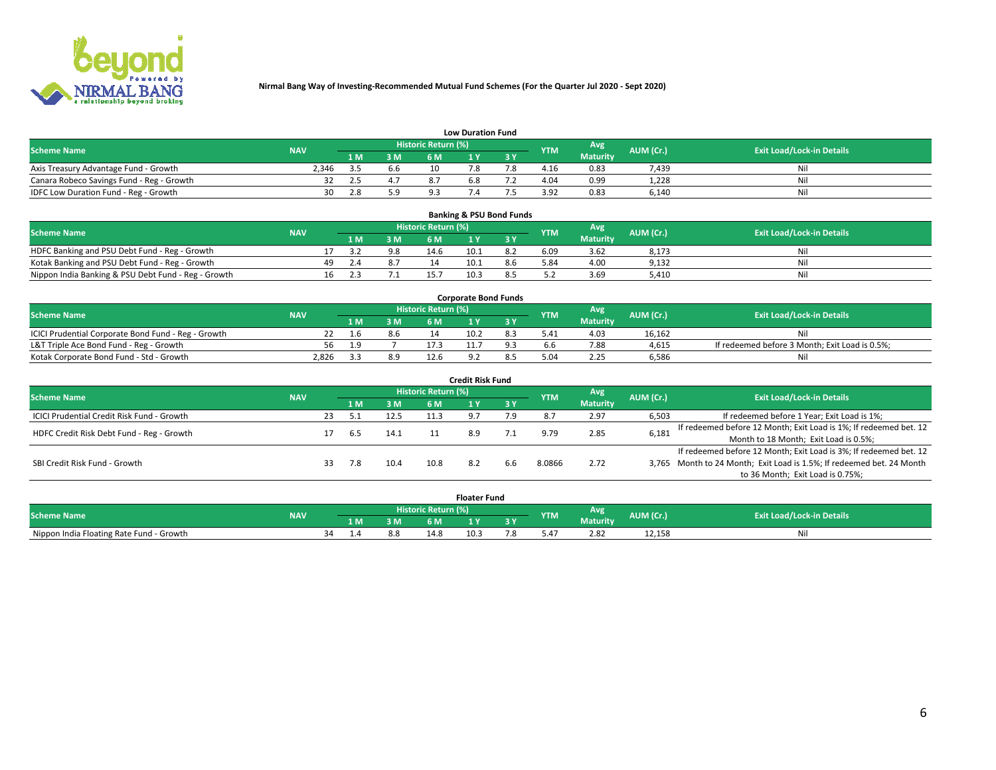

| <b>Low Duration Fund</b>                  |            |      |     |                     |     |     |                  |                 |           |                                  |  |  |  |  |
|-------------------------------------------|------------|------|-----|---------------------|-----|-----|------------------|-----------------|-----------|----------------------------------|--|--|--|--|
| <b>Scheme Name</b>                        | <b>NAV</b> |      |     | Historic Return (%) |     |     | <b>YTM</b>       | Avg             | AUM (Cr.) | <b>Exit Load/Lock-in Details</b> |  |  |  |  |
|                                           |            | L M. | 3 M |                     |     | 3 Y |                  | <b>Maturity</b> |           |                                  |  |  |  |  |
| Axis Treasury Advantage Fund - Growth     | 2.346      |      | b.b |                     |     |     | 4.16             | 0.83            | 7.439     | Nil                              |  |  |  |  |
| Canara Robeco Savings Fund - Reg - Growth |            |      |     |                     | b.ŏ |     | 4.04             | 0.99            | 1,228     | Nil                              |  |  |  |  |
| IDFC Low Duration Fund - Reg - Growth     | 30         | 2.8  |     | പോ                  |     |     | 2 Q <sub>2</sub> | 0.83            | 6,140     | Nil                              |  |  |  |  |

| <b>Banking &amp; PSU Bond Funds</b>                 |            |                                                       |     |     |                                  |      |     |      |                 |       |    |  |  |  |
|-----------------------------------------------------|------------|-------------------------------------------------------|-----|-----|----------------------------------|------|-----|------|-----------------|-------|----|--|--|--|
| <b>Scheme Name</b>                                  | <b>NAV</b> | Historic Return (%)<br>Avg<br>AUM (Cr.)<br><b>YTM</b> |     |     | <b>Exit Load/Lock-in Details</b> |      |     |      |                 |       |    |  |  |  |
|                                                     |            |                                                       | 1 M | 3 M | 6 M                              |      | 3 V |      | <b>Maturity</b> |       |    |  |  |  |
| HDFC Banking and PSU Debt Fund - Reg - Growth       |            |                                                       |     | 9.8 | 14.6                             | 10.1 |     | 6.09 | 3.62            | 8,173 | Ni |  |  |  |
| Kotak Banking and PSU Debt Fund - Reg - Growth      |            | 49.                                                   |     |     |                                  | 10.1 | 8.6 | 5.84 | 4.00            | 9,132 | Ni |  |  |  |
| Nippon India Banking & PSU Debt Fund - Reg - Growth |            | 16                                                    |     |     |                                  | 10.3 |     |      | 3.69            | 5.410 | Ni |  |  |  |

| <b>Corporate Bond Funds</b>                         |            |  |     |                            |      |  |            |                 |           |                                                |  |  |  |  |
|-----------------------------------------------------|------------|--|-----|----------------------------|------|--|------------|-----------------|-----------|------------------------------------------------|--|--|--|--|
| <b>Scheme Name</b>                                  | <b>NAV</b> |  |     | <b>Historic Return (%)</b> |      |  | <b>YTM</b> | Avg             | AUM (Cr.) | <b>Exit Load/Lock-in Details</b>               |  |  |  |  |
|                                                     |            |  | 3 M | 6 M                        |      |  |            | <b>Maturity</b> |           |                                                |  |  |  |  |
| ICICI Prudential Corporate Bond Fund - Reg - Growth |            |  | 8.6 |                            | 10.2 |  | 5.41       | 4.03            | 16.162    | Nil                                            |  |  |  |  |
| L&T Triple Ace Bond Fund - Reg - Growth             | 56         |  |     | 17 <sup>2</sup>            |      |  |            | 7.88            | 4,615     | If redeemed before 3 Month; Exit Load is 0.5%; |  |  |  |  |
| Kotak Corporate Bond Fund - Std - Growth            | 2,826      |  | 8.9 | 12.6                       |      |  |            | 2.25            | 6,586     | Nil                                            |  |  |  |  |

| <b>Credit Risk Fund</b>                    |            |    |     |      |                            |  |           |            |                 |           |                                                                       |  |  |  |
|--------------------------------------------|------------|----|-----|------|----------------------------|--|-----------|------------|-----------------|-----------|-----------------------------------------------------------------------|--|--|--|
| <b>Scheme Name</b>                         | <b>NAV</b> |    |     |      | <b>Historic Return (%)</b> |  |           | <b>YTM</b> | Avg             | AUM (Cr.) | <b>Exit Load/Lock-in Details</b>                                      |  |  |  |
|                                            |            |    | 1 M | 3 M  | 6 M                        |  | <b>3Y</b> |            | <b>Maturity</b> |           |                                                                       |  |  |  |
| ICICI Prudential Credit Risk Fund - Growth |            | 23 |     | 12.5 | 11.3                       |  | 7.9       |            | 2.97            | 6,503     | If redeemed before 1 Year; Exit Load is 1%;                           |  |  |  |
| HDFC Credit Risk Debt Fund - Reg - Growth  |            |    | 6.5 | 14.1 |                            |  |           | 9.79       | 2.85            | 6,181     | If redeemed before 12 Month; Exit Load is 1%; If redeemed bet. 12     |  |  |  |
|                                            |            |    |     |      |                            |  |           |            |                 |           | Month to 18 Month; Exit Load is 0.5%;                                 |  |  |  |
|                                            |            |    |     |      |                            |  |           |            |                 |           | If redeemed before 12 Month; Exit Load is 3%; If redeemed bet. 12     |  |  |  |
| SBI Credit Risk Fund - Growth              |            |    | 7.8 | 10.4 | 10.8                       |  | 6.6       | 8.0866     | 2.72            |           | 3,765 Month to 24 Month; Exit Load is 1.5%; If redeemed bet. 24 Month |  |  |  |
|                                            |            |    |     |      |                            |  |           |            |                 |           | to 36 Month; Exit Load is 0.75%;                                      |  |  |  |

| <b>Floater Fund</b>                      |            |    |     |     |                     |      |   |                                 |                 |           |                                  |
|------------------------------------------|------------|----|-----|-----|---------------------|------|---|---------------------------------|-----------------|-----------|----------------------------------|
| <b>Scheme Name</b>                       | <b>NAV</b> |    |     |     | Historic Return (%) |      |   | <b>YTM</b>                      | Avg             | AUM (Cr.) | <b>Exit Load/Lock-in Details</b> |
|                                          |            |    | 1 M | ЗM  | 6 M                 | - 17 | . |                                 | <b>Maturity</b> |           |                                  |
| Nippon India Floating Rate Fund - Growth |            | ≺⊿ |     | 8.8 | 14.                 | 10.5 |   | $\overline{a}$<br>$0.4^{\circ}$ | 2.82            | 12,158    | NL                               |